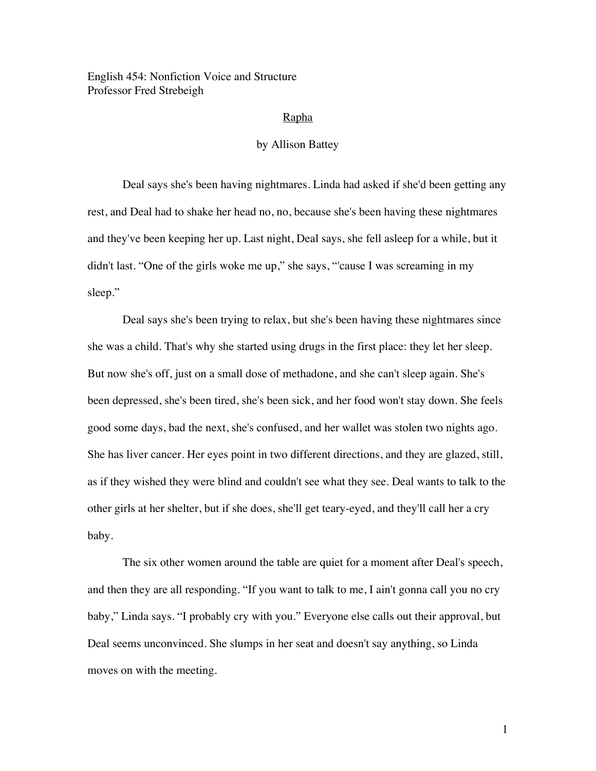English 454: Nonfiction Voice and Structure Professor Fred Strebeigh

## Rapha

## by Allison Battey

Deal says she's been having nightmares. Linda had asked if she'd been getting any rest, and Deal had to shake her head no, no, because she's been having these nightmares and they've been keeping her up. Last night, Deal says, she fell asleep for a while, but it didn't last. "One of the girls woke me up," she says, "'cause I was screaming in my sleep."

Deal says she's been trying to relax, but she's been having these nightmares since she was a child. That's why she started using drugs in the first place: they let her sleep. But now she's off, just on a small dose of methadone, and she can't sleep again. She's been depressed, she's been tired, she's been sick, and her food won't stay down. She feels good some days, bad the next, she's confused, and her wallet was stolen two nights ago. She has liver cancer. Her eyes point in two different directions, and they are glazed, still, as if they wished they were blind and couldn't see what they see. Deal wants to talk to the other girls at her shelter, but if she does, she'll get teary-eyed, and they'll call her a cry baby.

The six other women around the table are quiet for a moment after Deal's speech, and then they are all responding. "If you want to talk to me, I ain't gonna call you no cry baby," Linda says. "I probably cry with you." Everyone else calls out their approval, but Deal seems unconvinced. She slumps in her seat and doesn't say anything, so Linda moves on with the meeting.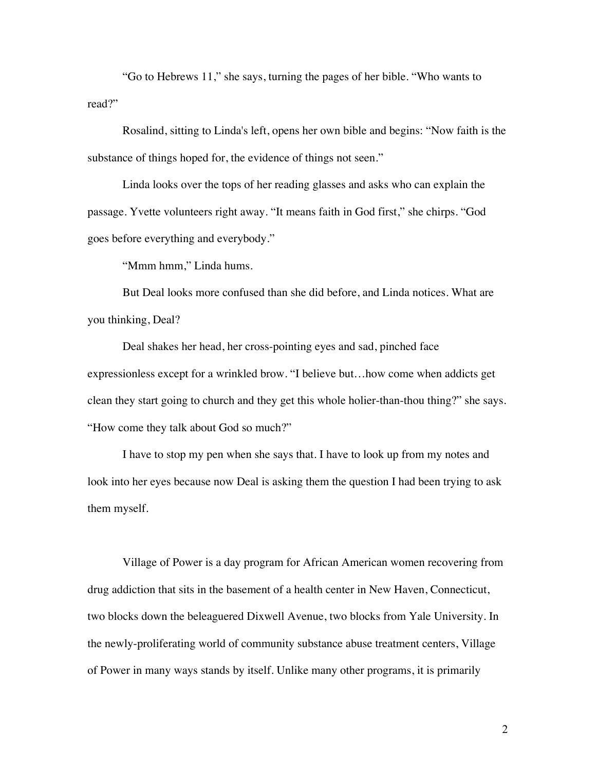"Go to Hebrews 11," she says, turning the pages of her bible. "Who wants to read?"

Rosalind, sitting to Linda's left, opens her own bible and begins: "Now faith is the substance of things hoped for, the evidence of things not seen."

Linda looks over the tops of her reading glasses and asks who can explain the passage. Yvette volunteers right away. "It means faith in God first," she chirps. "God goes before everything and everybody."

"Mmm hmm," Linda hums.

But Deal looks more confused than she did before, and Linda notices. What are you thinking, Deal?

Deal shakes her head, her cross-pointing eyes and sad, pinched face expressionless except for a wrinkled brow. "I believe but…how come when addicts get clean they start going to church and they get this whole holier-than-thou thing?" she says. "How come they talk about God so much?"

I have to stop my pen when she says that. I have to look up from my notes and look into her eyes because now Deal is asking them the question I had been trying to ask them myself.

Village of Power is a day program for African American women recovering from drug addiction that sits in the basement of a health center in New Haven, Connecticut, two blocks down the beleaguered Dixwell Avenue, two blocks from Yale University. In the newly-proliferating world of community substance abuse treatment centers, Village of Power in many ways stands by itself. Unlike many other programs, it is primarily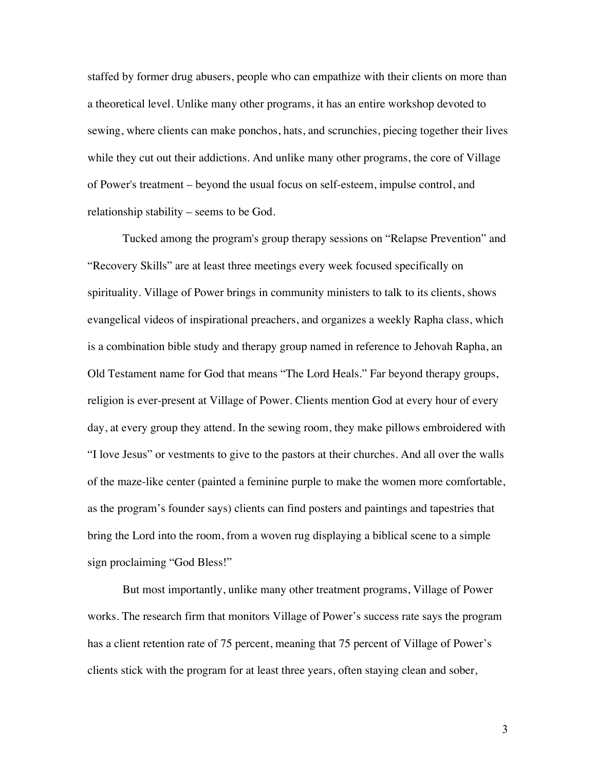staffed by former drug abusers, people who can empathize with their clients on more than a theoretical level. Unlike many other programs, it has an entire workshop devoted to sewing, where clients can make ponchos, hats, and scrunchies, piecing together their lives while they cut out their addictions. And unlike many other programs, the core of Village of Power's treatment – beyond the usual focus on self-esteem, impulse control, and relationship stability – seems to be God.

Tucked among the program's group therapy sessions on "Relapse Prevention" and "Recovery Skills" are at least three meetings every week focused specifically on spirituality. Village of Power brings in community ministers to talk to its clients, shows evangelical videos of inspirational preachers, and organizes a weekly Rapha class, which is a combination bible study and therapy group named in reference to Jehovah Rapha, an Old Testament name for God that means "The Lord Heals." Far beyond therapy groups, religion is ever-present at Village of Power. Clients mention God at every hour of every day, at every group they attend. In the sewing room, they make pillows embroidered with "I love Jesus" or vestments to give to the pastors at their churches. And all over the walls of the maze-like center (painted a feminine purple to make the women more comfortable, as the program's founder says) clients can find posters and paintings and tapestries that bring the Lord into the room, from a woven rug displaying a biblical scene to a simple sign proclaiming "God Bless!"

But most importantly, unlike many other treatment programs, Village of Power works. The research firm that monitors Village of Power's success rate says the program has a client retention rate of 75 percent, meaning that 75 percent of Village of Power's clients stick with the program for at least three years, often staying clean and sober,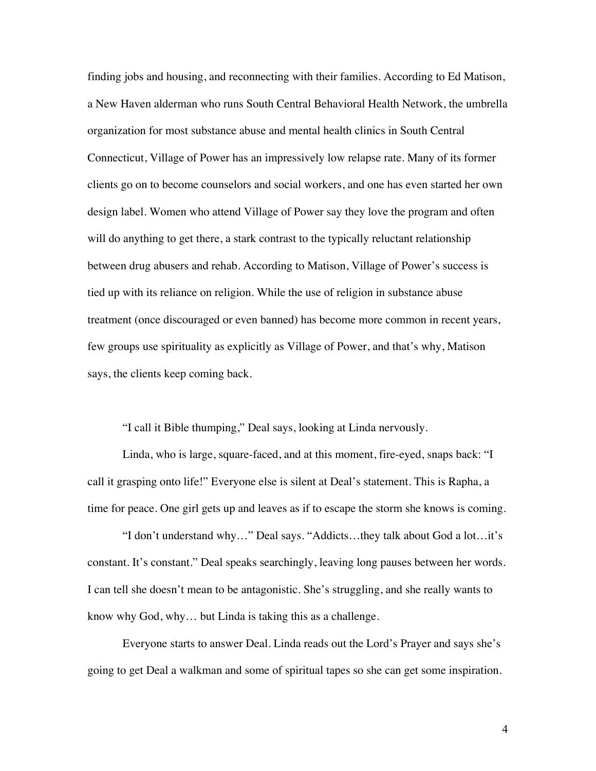finding jobs and housing, and reconnecting with their families. According to Ed Matison, a New Haven alderman who runs South Central Behavioral Health Network, the umbrella organization for most substance abuse and mental health clinics in South Central Connecticut, Village of Power has an impressively low relapse rate. Many of its former clients go on to become counselors and social workers, and one has even started her own design label. Women who attend Village of Power say they love the program and often will do anything to get there, a stark contrast to the typically reluctant relationship between drug abusers and rehab. According to Matison, Village of Power's success is tied up with its reliance on religion. While the use of religion in substance abuse treatment (once discouraged or even banned) has become more common in recent years, few groups use spirituality as explicitly as Village of Power, and that's why, Matison says, the clients keep coming back.

"I call it Bible thumping," Deal says, looking at Linda nervously.

Linda, who is large, square-faced, and at this moment, fire-eyed, snaps back: "I call it grasping onto life!" Everyone else is silent at Deal's statement. This is Rapha, a time for peace. One girl gets up and leaves as if to escape the storm she knows is coming.

"I don't understand why…" Deal says. "Addicts…they talk about God a lot…it's constant. It's constant." Deal speaks searchingly, leaving long pauses between her words. I can tell she doesn't mean to be antagonistic. She's struggling, and she really wants to know why God, why… but Linda is taking this as a challenge.

Everyone starts to answer Deal. Linda reads out the Lord's Prayer and says she's going to get Deal a walkman and some of spiritual tapes so she can get some inspiration.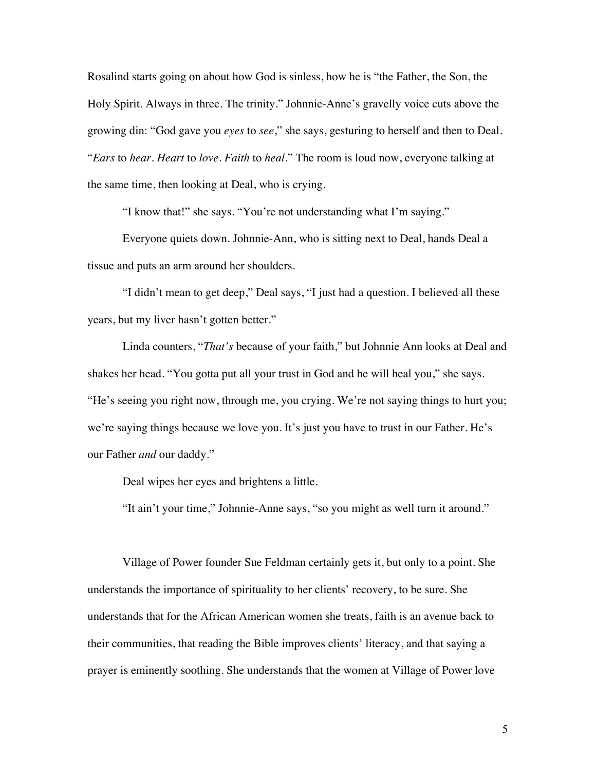Rosalind starts going on about how God is sinless, how he is "the Father, the Son, the Holy Spirit. Always in three. The trinity." Johnnie-Anne's gravelly voice cuts above the growing din: "God gave you *eyes* to *see*," she says, gesturing to herself and then to Deal. "*Ears* to *hear*. *Heart* to *love*. *Faith* to *heal*." The room is loud now, everyone talking at the same time, then looking at Deal, who is crying.

"I know that!" she says. "You're not understanding what I'm saying."

Everyone quiets down. Johnnie-Ann, who is sitting next to Deal, hands Deal a tissue and puts an arm around her shoulders.

"I didn't mean to get deep," Deal says, "I just had a question. I believed all these years, but my liver hasn't gotten better."

Linda counters, "*That's* because of your faith," but Johnnie Ann looks at Deal and shakes her head. "You gotta put all your trust in God and he will heal you," she says. "He's seeing you right now, through me, you crying. We're not saying things to hurt you; we're saying things because we love you. It's just you have to trust in our Father. He's our Father *and* our daddy."

Deal wipes her eyes and brightens a little.

"It ain't your time," Johnnie-Anne says, "so you might as well turn it around."

Village of Power founder Sue Feldman certainly gets it, but only to a point. She understands the importance of spirituality to her clients' recovery, to be sure. She understands that for the African American women she treats, faith is an avenue back to their communities, that reading the Bible improves clients' literacy, and that saying a prayer is eminently soothing. She understands that the women at Village of Power love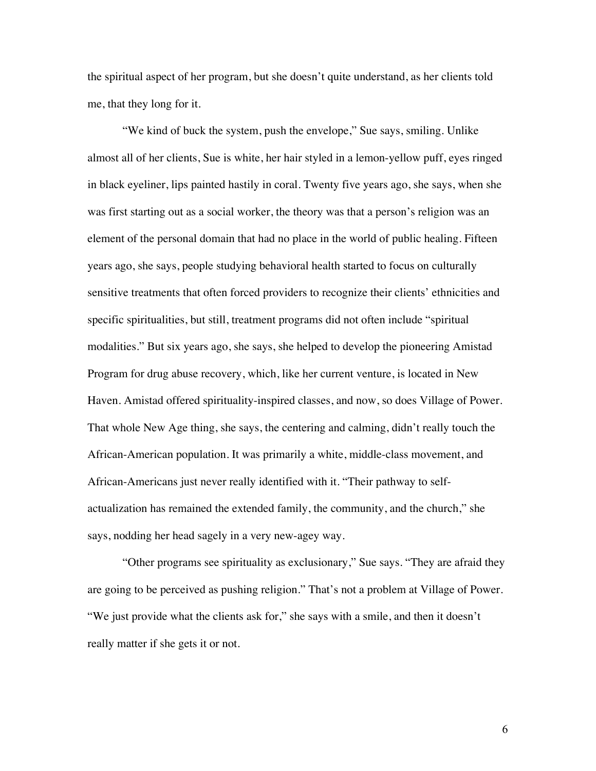the spiritual aspect of her program, but she doesn't quite understand, as her clients told me, that they long for it.

"We kind of buck the system, push the envelope," Sue says, smiling. Unlike almost all of her clients, Sue is white, her hair styled in a lemon-yellow puff, eyes ringed in black eyeliner, lips painted hastily in coral. Twenty five years ago, she says, when she was first starting out as a social worker, the theory was that a person's religion was an element of the personal domain that had no place in the world of public healing. Fifteen years ago, she says, people studying behavioral health started to focus on culturally sensitive treatments that often forced providers to recognize their clients' ethnicities and specific spiritualities, but still, treatment programs did not often include "spiritual modalities." But six years ago, she says, she helped to develop the pioneering Amistad Program for drug abuse recovery, which, like her current venture, is located in New Haven. Amistad offered spirituality-inspired classes, and now, so does Village of Power. That whole New Age thing, she says, the centering and calming, didn't really touch the African-American population. It was primarily a white, middle-class movement, and African-Americans just never really identified with it. "Their pathway to selfactualization has remained the extended family, the community, and the church," she says, nodding her head sagely in a very new-agey way.

"Other programs see spirituality as exclusionary," Sue says. "They are afraid they are going to be perceived as pushing religion." That's not a problem at Village of Power. "We just provide what the clients ask for," she says with a smile, and then it doesn't really matter if she gets it or not.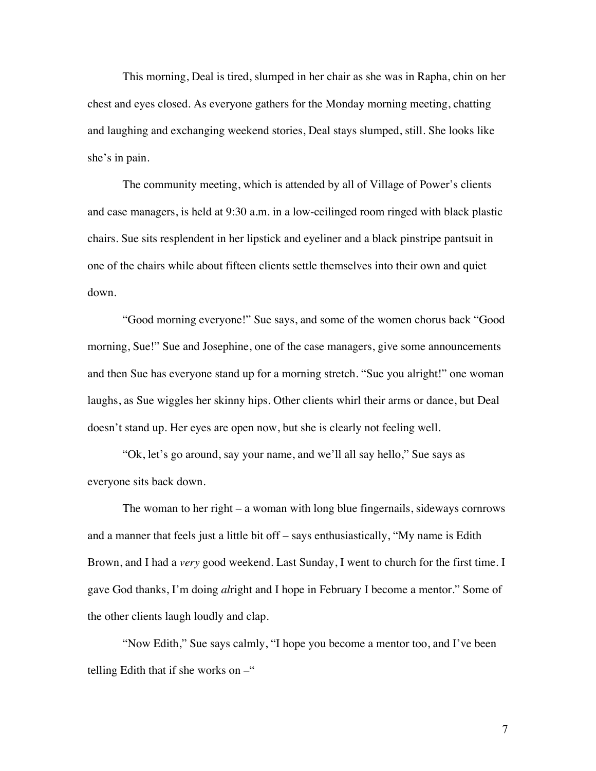This morning, Deal is tired, slumped in her chair as she was in Rapha, chin on her chest and eyes closed. As everyone gathers for the Monday morning meeting, chatting and laughing and exchanging weekend stories, Deal stays slumped, still. She looks like she's in pain.

The community meeting, which is attended by all of Village of Power's clients and case managers, is held at 9:30 a.m. in a low-ceilinged room ringed with black plastic chairs. Sue sits resplendent in her lipstick and eyeliner and a black pinstripe pantsuit in one of the chairs while about fifteen clients settle themselves into their own and quiet down.

"Good morning everyone!" Sue says, and some of the women chorus back "Good morning, Sue!" Sue and Josephine, one of the case managers, give some announcements and then Sue has everyone stand up for a morning stretch. "Sue you alright!" one woman laughs, as Sue wiggles her skinny hips. Other clients whirl their arms or dance, but Deal doesn't stand up. Her eyes are open now, but she is clearly not feeling well.

"Ok, let's go around, say your name, and we'll all say hello," Sue says as everyone sits back down.

The woman to her right – a woman with long blue fingernails, sideways cornrows and a manner that feels just a little bit off – says enthusiastically, "My name is Edith Brown, and I had a *very* good weekend. Last Sunday, I went to church for the first time. I gave God thanks, I'm doing *al*right and I hope in February I become a mentor." Some of the other clients laugh loudly and clap.

"Now Edith," Sue says calmly, "I hope you become a mentor too, and I've been telling Edith that if she works on  $-$ "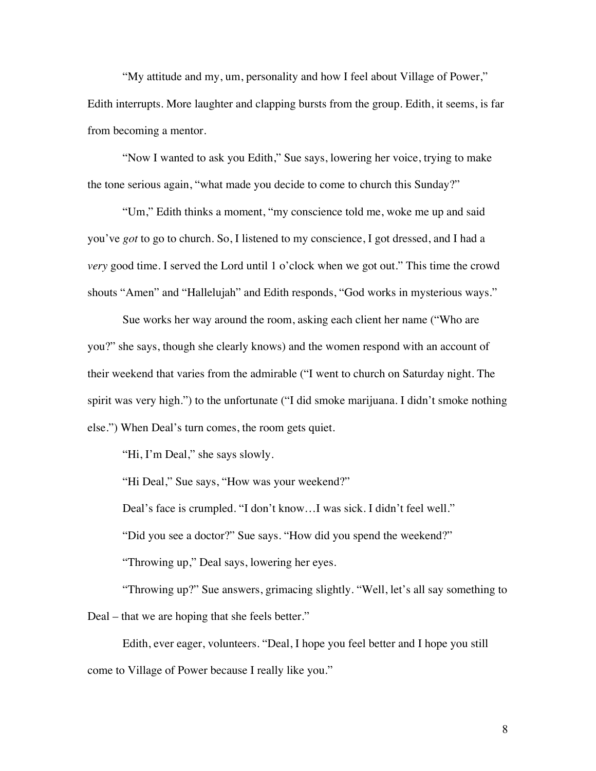"My attitude and my, um, personality and how I feel about Village of Power," Edith interrupts. More laughter and clapping bursts from the group. Edith, it seems, is far from becoming a mentor.

"Now I wanted to ask you Edith," Sue says, lowering her voice, trying to make the tone serious again, "what made you decide to come to church this Sunday?"

"Um," Edith thinks a moment, "my conscience told me, woke me up and said you've *got* to go to church. So, I listened to my conscience, I got dressed, and I had a *very* good time. I served the Lord until 1 o'clock when we got out." This time the crowd shouts "Amen" and "Hallelujah" and Edith responds, "God works in mysterious ways."

Sue works her way around the room, asking each client her name ("Who are you?" she says, though she clearly knows) and the women respond with an account of their weekend that varies from the admirable ("I went to church on Saturday night. The spirit was very high.") to the unfortunate ("I did smoke marijuana. I didn't smoke nothing else.") When Deal's turn comes, the room gets quiet.

"Hi, I'm Deal," she says slowly.

"Hi Deal," Sue says, "How was your weekend?"

Deal's face is crumpled. "I don't know…I was sick. I didn't feel well."

"Did you see a doctor?" Sue says. "How did you spend the weekend?"

"Throwing up," Deal says, lowering her eyes.

"Throwing up?" Sue answers, grimacing slightly. "Well, let's all say something to Deal – that we are hoping that she feels better."

Edith, ever eager, volunteers. "Deal, I hope you feel better and I hope you still come to Village of Power because I really like you."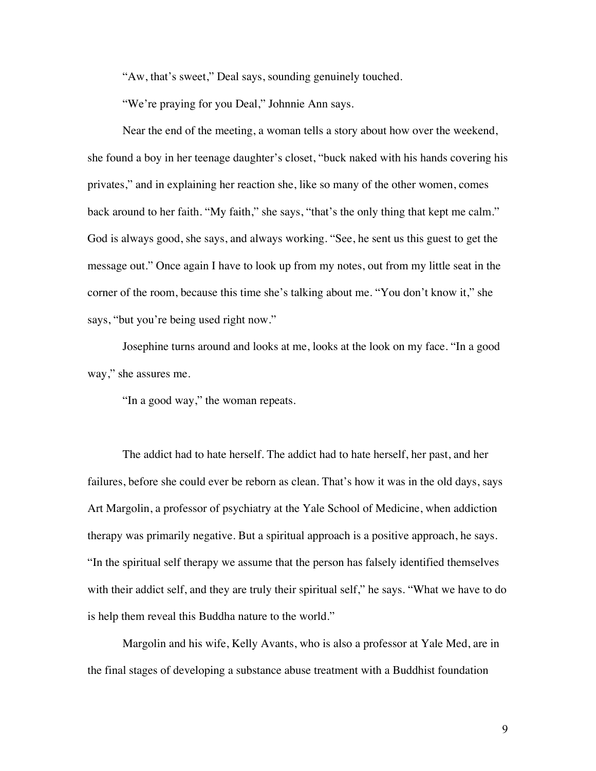"Aw, that's sweet," Deal says, sounding genuinely touched.

"We're praying for you Deal," Johnnie Ann says.

Near the end of the meeting, a woman tells a story about how over the weekend, she found a boy in her teenage daughter's closet, "buck naked with his hands covering his privates," and in explaining her reaction she, like so many of the other women, comes back around to her faith. "My faith," she says, "that's the only thing that kept me calm." God is always good, she says, and always working. "See, he sent us this guest to get the message out." Once again I have to look up from my notes, out from my little seat in the corner of the room, because this time she's talking about me. "You don't know it," she says, "but you're being used right now."

Josephine turns around and looks at me, looks at the look on my face. "In a good way," she assures me.

"In a good way," the woman repeats.

The addict had to hate herself. The addict had to hate herself, her past, and her failures, before she could ever be reborn as clean. That's how it was in the old days, says Art Margolin, a professor of psychiatry at the Yale School of Medicine, when addiction therapy was primarily negative. But a spiritual approach is a positive approach, he says. "In the spiritual self therapy we assume that the person has falsely identified themselves with their addict self, and they are truly their spiritual self," he says. "What we have to do is help them reveal this Buddha nature to the world."

Margolin and his wife, Kelly Avants, who is also a professor at Yale Med, are in the final stages of developing a substance abuse treatment with a Buddhist foundation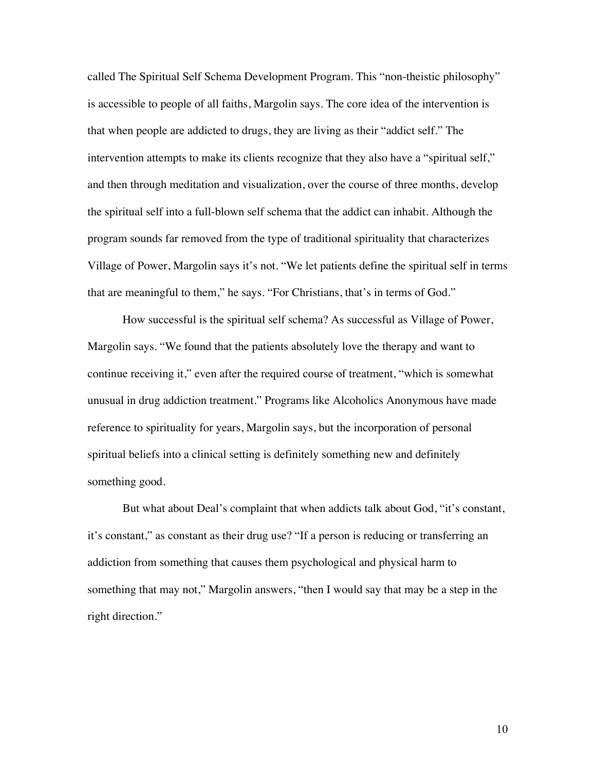called The Spiritual Self Schema Development Program. This "non-theistic philosophy" is accessible to people of all faiths, Margolin says. The core idea of the intervention is that when people are addicted to drugs, they are living as their "addict self." The intervention attempts to make its clients recognize that they also have a "spiritual self," and then through meditation and visualization, over the course of three months, develop the spiritual self into a full-blown self schema that the addict can inhabit. Although the program sounds far removed from the type of traditional spirituality that characterizes Village of Power, Margolin says it's not. "We let patients define the spiritual self in terms that are meaningful to them," he says. "For Christians, that's in terms of God."

How successful is the spiritual self schema? As successful as Village of Power, Margolin says. "We found that the patients absolutely love the therapy and want to continue receiving it," even after the required course of treatment, "which is somewhat unusual in drug addiction treatment." Programs like Alcoholics Anonymous have made reference to spirituality for years, Margolin says, but the incorporation of personal spiritual beliefs into a clinical setting is definitely something new and definitely something good.

But what about Deal's complaint that when addicts talk about God, "it's constant, it's constant," as constant as their drug use? "If a person is reducing or transferring an addiction from something that causes them psychological and physical harm to something that may not," Margolin answers, "then I would say that may be a step in the right direction."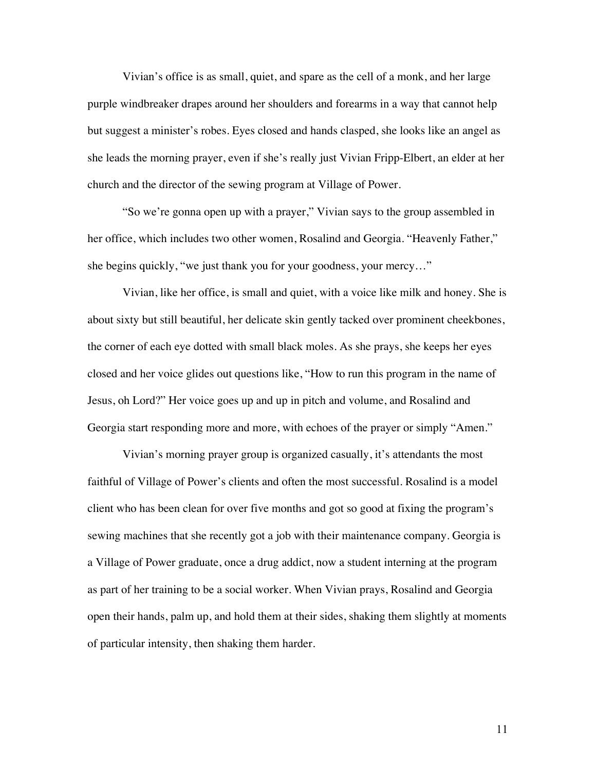Vivian's office is as small, quiet, and spare as the cell of a monk, and her large purple windbreaker drapes around her shoulders and forearms in a way that cannot help but suggest a minister's robes. Eyes closed and hands clasped, she looks like an angel as she leads the morning prayer, even if she's really just Vivian Fripp-Elbert, an elder at her church and the director of the sewing program at Village of Power.

"So we're gonna open up with a prayer," Vivian says to the group assembled in her office, which includes two other women, Rosalind and Georgia. "Heavenly Father," she begins quickly, "we just thank you for your goodness, your mercy…"

Vivian, like her office, is small and quiet, with a voice like milk and honey. She is about sixty but still beautiful, her delicate skin gently tacked over prominent cheekbones, the corner of each eye dotted with small black moles. As she prays, she keeps her eyes closed and her voice glides out questions like, "How to run this program in the name of Jesus, oh Lord?" Her voice goes up and up in pitch and volume, and Rosalind and Georgia start responding more and more, with echoes of the prayer or simply "Amen."

Vivian's morning prayer group is organized casually, it's attendants the most faithful of Village of Power's clients and often the most successful. Rosalind is a model client who has been clean for over five months and got so good at fixing the program's sewing machines that she recently got a job with their maintenance company. Georgia is a Village of Power graduate, once a drug addict, now a student interning at the program as part of her training to be a social worker. When Vivian prays, Rosalind and Georgia open their hands, palm up, and hold them at their sides, shaking them slightly at moments of particular intensity, then shaking them harder.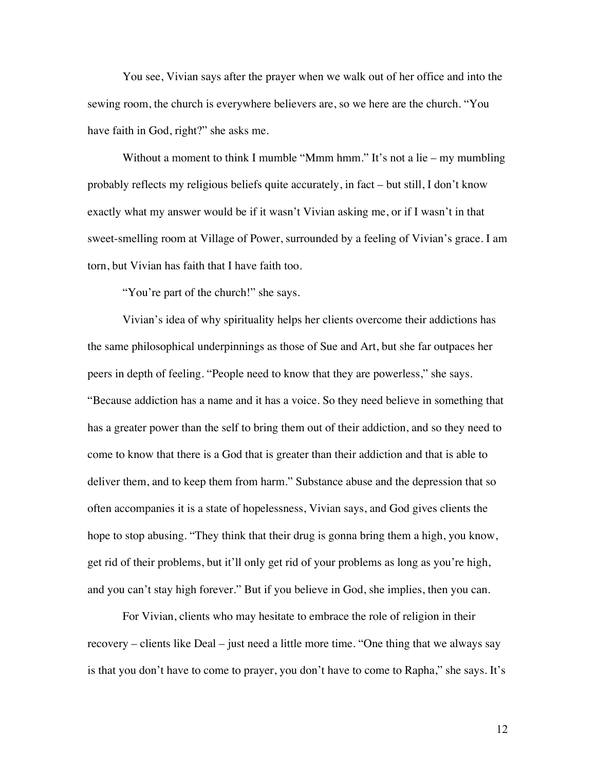You see, Vivian says after the prayer when we walk out of her office and into the sewing room, the church is everywhere believers are, so we here are the church. "You have faith in God, right?" she asks me.

Without a moment to think I mumble "Mmm hmm." It's not a lie – my mumbling probably reflects my religious beliefs quite accurately, in fact – but still, I don't know exactly what my answer would be if it wasn't Vivian asking me, or if I wasn't in that sweet-smelling room at Village of Power, surrounded by a feeling of Vivian's grace. I am torn, but Vivian has faith that I have faith too.

"You're part of the church!" she says.

Vivian's idea of why spirituality helps her clients overcome their addictions has the same philosophical underpinnings as those of Sue and Art, but she far outpaces her peers in depth of feeling. "People need to know that they are powerless," she says. "Because addiction has a name and it has a voice. So they need believe in something that has a greater power than the self to bring them out of their addiction, and so they need to come to know that there is a God that is greater than their addiction and that is able to deliver them, and to keep them from harm." Substance abuse and the depression that so often accompanies it is a state of hopelessness, Vivian says, and God gives clients the hope to stop abusing. "They think that their drug is gonna bring them a high, you know, get rid of their problems, but it'll only get rid of your problems as long as you're high, and you can't stay high forever." But if you believe in God, she implies, then you can.

For Vivian, clients who may hesitate to embrace the role of religion in their recovery – clients like Deal – just need a little more time. "One thing that we always say is that you don't have to come to prayer, you don't have to come to Rapha," she says. It's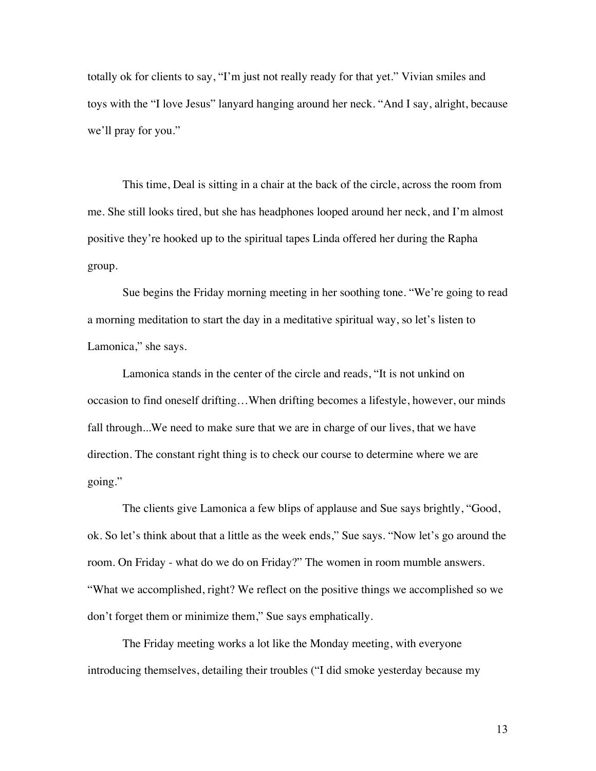totally ok for clients to say, "I'm just not really ready for that yet." Vivian smiles and toys with the "I love Jesus" lanyard hanging around her neck. "And I say, alright, because we'll pray for you."

This time, Deal is sitting in a chair at the back of the circle, across the room from me. She still looks tired, but she has headphones looped around her neck, and I'm almost positive they're hooked up to the spiritual tapes Linda offered her during the Rapha group.

Sue begins the Friday morning meeting in her soothing tone. "We're going to read a morning meditation to start the day in a meditative spiritual way, so let's listen to Lamonica," she says.

Lamonica stands in the center of the circle and reads, "It is not unkind on occasion to find oneself drifting…When drifting becomes a lifestyle, however, our minds fall through...We need to make sure that we are in charge of our lives, that we have direction. The constant right thing is to check our course to determine where we are going."

The clients give Lamonica a few blips of applause and Sue says brightly, "Good, ok. So let's think about that a little as the week ends," Sue says. "Now let's go around the room. On Friday - what do we do on Friday?" The women in room mumble answers. "What we accomplished, right? We reflect on the positive things we accomplished so we don't forget them or minimize them," Sue says emphatically.

The Friday meeting works a lot like the Monday meeting, with everyone introducing themselves, detailing their troubles ("I did smoke yesterday because my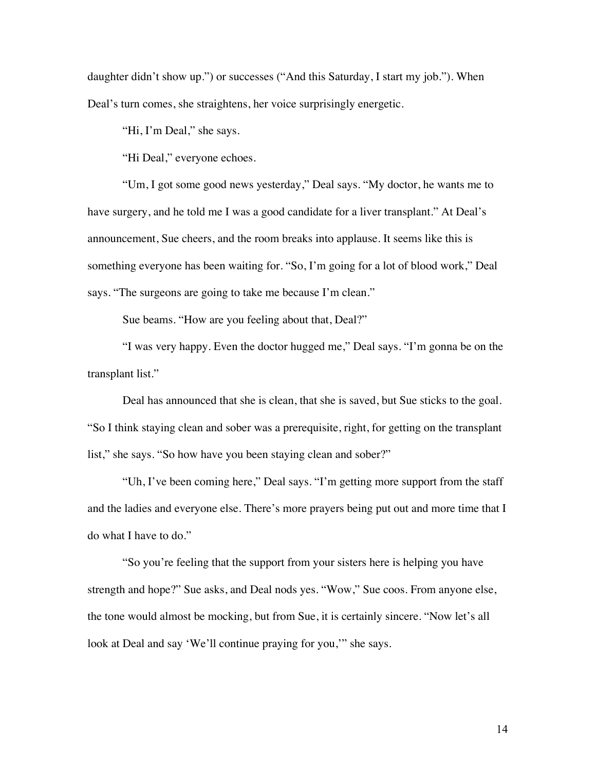daughter didn't show up.") or successes ("And this Saturday, I start my job."). When Deal's turn comes, she straightens, her voice surprisingly energetic.

"Hi, I'm Deal," she says.

"Hi Deal," everyone echoes.

"Um, I got some good news yesterday," Deal says. "My doctor, he wants me to have surgery, and he told me I was a good candidate for a liver transplant." At Deal's announcement, Sue cheers, and the room breaks into applause. It seems like this is something everyone has been waiting for. "So, I'm going for a lot of blood work," Deal says. "The surgeons are going to take me because I'm clean."

Sue beams. "How are you feeling about that, Deal?"

"I was very happy. Even the doctor hugged me," Deal says. "I'm gonna be on the transplant list."

Deal has announced that she is clean, that she is saved, but Sue sticks to the goal. "So I think staying clean and sober was a prerequisite, right, for getting on the transplant list," she says. "So how have you been staying clean and sober?"

"Uh, I've been coming here," Deal says. "I'm getting more support from the staff and the ladies and everyone else. There's more prayers being put out and more time that I do what I have to do."

"So you're feeling that the support from your sisters here is helping you have strength and hope?" Sue asks, and Deal nods yes. "Wow," Sue coos. From anyone else, the tone would almost be mocking, but from Sue, it is certainly sincere. "Now let's all look at Deal and say 'We'll continue praying for you," she says.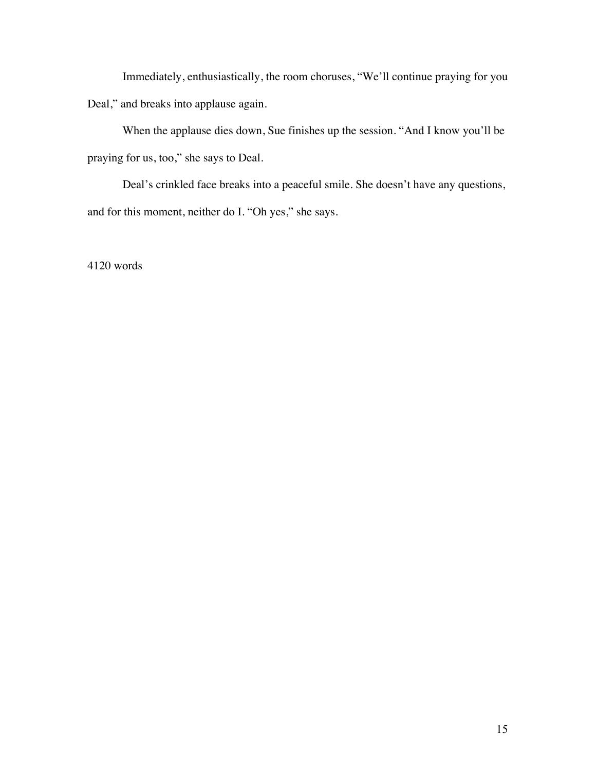Immediately, enthusiastically, the room choruses, "We'll continue praying for you Deal," and breaks into applause again.

When the applause dies down, Sue finishes up the session. "And I know you'll be praying for us, too," she says to Deal.

Deal's crinkled face breaks into a peaceful smile. She doesn't have any questions, and for this moment, neither do I. "Oh yes," she says.

4120 words